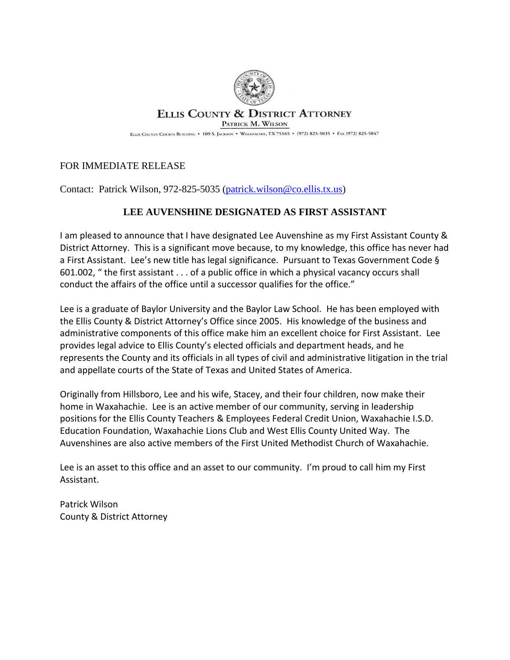

## **ELLIS COUNTY & DISTRICT ATTORNEY**

PATRICK M. WILSON

ELLIS COUNTY COURTS BUILDING • 109 S. JACKSON • WAXAHACHIE, TX 75165 • (972) 825-5035 • FAX (972) 825-5047

## FOR IMMEDIATE RELEASE

Contact: Patrick Wilson, 972-825-5035 [\(patrick.wilson@co.ellis.tx.us\)](mailto:patrick.wilson@co.ellis.tx.us)

## **LEE AUVENSHINE DESIGNATED AS FIRST ASSISTANT**

I am pleased to announce that I have designated Lee Auvenshine as my First Assistant County & District Attorney. This is a significant move because, to my knowledge, this office has never had a First Assistant. Lee's new title has legal significance. Pursuant to Texas Government Code § 601.002, " the first assistant . . . of a public office in which a physical vacancy occurs shall conduct the affairs of the office until a successor qualifies for the office."

Lee is a graduate of Baylor University and the Baylor Law School. He has been employed with the Ellis County & District Attorney's Office since 2005. His knowledge of the business and administrative components of this office make him an excellent choice for First Assistant. Lee provides legal advice to Ellis County's elected officials and department heads, and he represents the County and its officials in all types of civil and administrative litigation in the trial and appellate courts of the State of Texas and United States of America.

Originally from Hillsboro, Lee and his wife, Stacey, and their four children, now make their home in Waxahachie. Lee is an active member of our community, serving in leadership positions for the Ellis County Teachers & Employees Federal Credit Union, Waxahachie I.S.D. Education Foundation, Waxahachie Lions Club and West Ellis County United Way. The Auvenshines are also active members of the First United Methodist Church of Waxahachie.

Lee is an asset to this office and an asset to our community. I'm proud to call him my First Assistant.

Patrick Wilson County & District Attorney